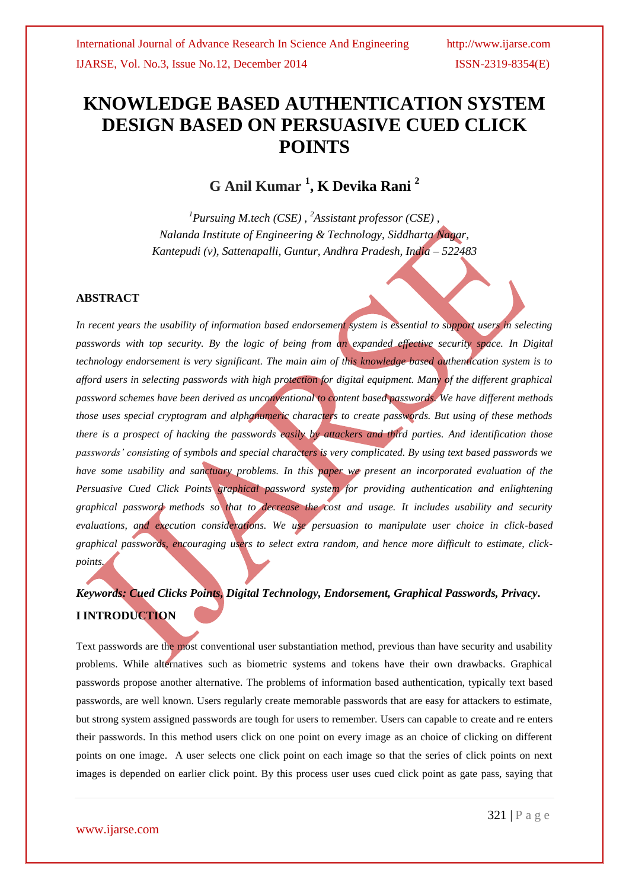# **KNOWLEDGE BASED AUTHENTICATION SYSTEM DESIGN BASED ON PERSUASIVE CUED CLICK POINTS**

**G Anil Kumar <sup>1</sup> , K Devika Rani <sup>2</sup>**

*<sup>1</sup>Pursuing M.tech (CSE) , <sup>2</sup>Assistant professor (CSE) , Nalanda Institute of Engineering & Technology, Siddharta Nagar, Kantepudi (v), Sattenapalli, Guntur, Andhra Pradesh, India – 522483*

### **ABSTRACT**

*In recent years the usability of information based endorsement system is essential to support users in selecting passwords with top security. By the logic of being from an expanded effective security space. In Digital technology endorsement is very significant. The main aim of this knowledge based authentication system is to afford users in selecting passwords with high protection for digital equipment. Many of the different graphical password schemes have been derived as unconventional to content based passwords. We have different methods those uses special cryptogram and alphanumeric characters to create passwords. But using of these methods there is a prospect of hacking the passwords easily by attackers and third parties. And identification those passwords' consisting of symbols and special characters is very complicated. By using text based passwords we have some usability and sanctuary problems. In this paper we present an incorporated evaluation of the Persuasive Cued Click Points graphical password system for providing authentication and enlightening graphical password methods so that to decrease the cost and usage. It includes usability and security evaluations, and execution considerations. We use persuasion to manipulate user choice in click-based graphical passwords, encouraging users to select extra random, and hence more difficult to estimate, clickpoints.*

# *Keywords: Cued Clicks Points, Digital Technology, Endorsement, Graphical Passwords, Privacy***. I INTRODUCTION**

Text passwords are the most conventional user substantiation method, previous than have security and usability problems. While alternatives such as biometric systems and tokens have their own drawbacks. Graphical passwords propose another alternative. The problems of information based authentication, typically text based passwords, are well known. Users regularly create memorable passwords that are easy for attackers to estimate, but strong system assigned passwords are tough for users to remember. Users can capable to create and re enters their passwords. In this method users click on one point on every image as an choice of clicking on different points on one image. A user selects one click point on each image so that the series of click points on next images is depended on earlier click point. By this process user uses cued click point as gate pass, saying that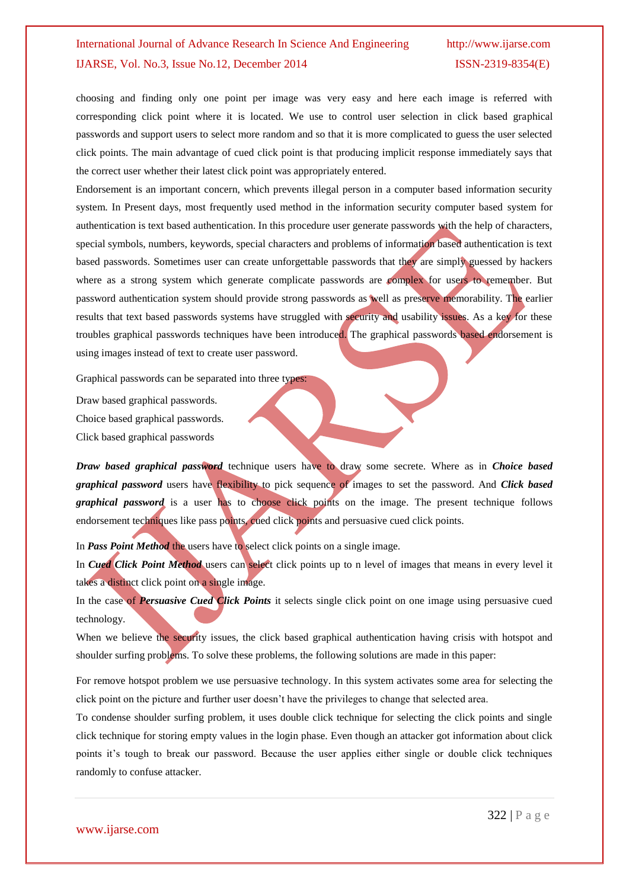choosing and finding only one point per image was very easy and here each image is referred with corresponding click point where it is located. We use to control user selection in click based graphical passwords and support users to select more random and so that it is more complicated to guess the user selected click points. The main advantage of cued click point is that producing implicit response immediately says that the correct user whether their latest click point was appropriately entered.

Endorsement is an important concern, which prevents illegal person in a computer based information security system. In Present days, most frequently used method in the information security computer based system for authentication is text based authentication. In this procedure user generate passwords with the help of characters, special symbols, numbers, keywords, special characters and problems of information based authentication is text based passwords. Sometimes user can create unforgettable passwords that they are simply guessed by hackers where as a strong system which generate complicate passwords are complex for users to remember. But password authentication system should provide strong passwords as well as preserve memorability. The earlier results that text based passwords systems have struggled with security and usability issues. As a key for these troubles graphical passwords techniques have been introduced. The graphical passwords based endorsement is using images instead of text to create user password.

Graphical passwords can be separated into three types:

Draw based graphical passwords.

Choice based graphical passwords.

Click based graphical passwords

*Draw based graphical password* technique users have to draw some secrete. Where as in *Choice based graphical password* users have flexibility to pick sequence of images to set the password. And *Click based graphical password* is a user has to choose click points on the image. The present technique follows endorsement techniques like pass points, qued click points and persuasive cued click points.

In *Pass Point Method* the users have to select click points on a single image.

In *Cued Click Point Method* users can select click points up to n level of images that means in every level it takes a distinct click point on a single image.

In the case of *Persuasive Cued Click Points* it selects single click point on one image using persuasive cued technology.

When we believe the security issues, the click based graphical authentication having crisis with hotspot and shoulder surfing problems. To solve these problems, the following solutions are made in this paper:

For remove hotspot problem we use persuasive technology. In this system activates some area for selecting the click point on the picture and further user doesn"t have the privileges to change that selected area.

To condense shoulder surfing problem, it uses double click technique for selecting the click points and single click technique for storing empty values in the login phase. Even though an attacker got information about click points it's tough to break our password. Because the user applies either single or double click techniques randomly to confuse attacker.

www.ijarse.com

322 | P a g e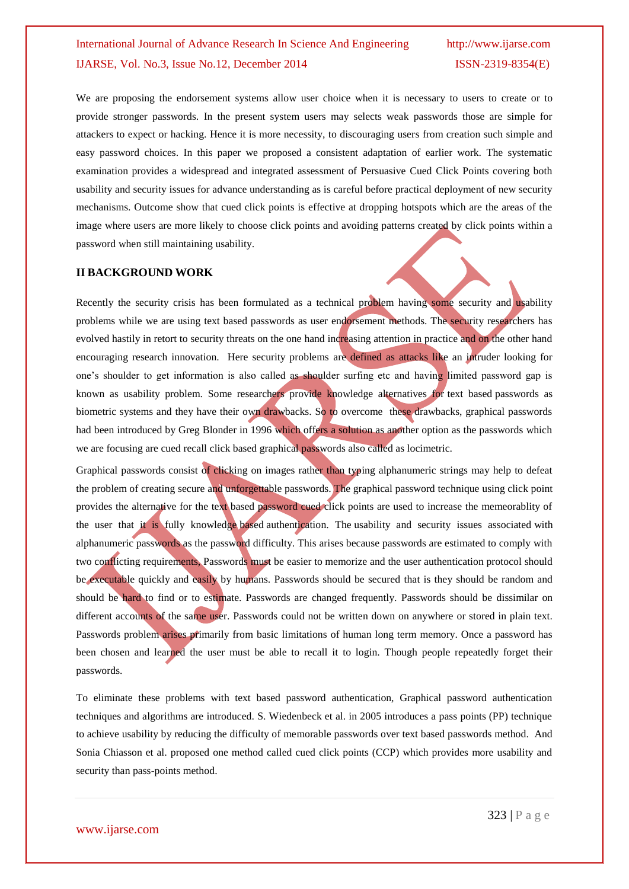We are proposing the endorsement systems allow user choice when it is necessary to users to create or to provide stronger passwords. In the present system users may selects weak passwords those are simple for attackers to expect or hacking. Hence it is more necessity, to discouraging users from creation such simple and easy password choices. In this paper we proposed a consistent adaptation of earlier work. The systematic examination provides a widespread and integrated assessment of Persuasive Cued Click Points covering both usability and security issues for advance understanding as is careful before practical deployment of new security mechanisms. Outcome show that cued click points is effective at dropping hotspots which are the areas of the image where users are more likely to choose click points and avoiding patterns created by click points within a password when still maintaining usability.

#### **II BACKGROUND WORK**

Recently the security crisis has been formulated as a technical problem having some security and usability problems while we are using text based passwords as user endorsement methods. The security researchers has evolved hastily in retort to security threats on the one hand increasing attention in practice and on the other hand encouraging research innovation. Here security problems are defined as attacks like an intruder looking for one"s shoulder to get information is also called as shoulder surfing etc and having limited password gap is known as usability problem. Some researchers provide knowledge alternatives for text based passwords as biometric systems and they have their own drawbacks. So to overcome these drawbacks, graphical passwords had been introduced by Greg Blonder in 1996 which offers a solution as another option as the passwords which we are focusing are cued recall click based graphical passwords also called as locimetric.

Graphical passwords consist of clicking on images rather than typing alphanumeric strings may help to defeat the problem of creating secure and unforgettable passwords. The graphical password technique using click point provides the alternative for the text based password cued click points are used to increase the memeorablity of the user that it is fully knowledge based authentication. The usability and security issues associated with alphanumeric passwords as the password difficulty. This arises because passwords are estimated to comply with two conflicting requirements, Passwords must be easier to memorize and the user authentication protocol should be executable quickly and easily by humans. Passwords should be secured that is they should be random and should be hard to find or to estimate. Passwords are changed frequently. Passwords should be dissimilar on different accounts of the same user. Passwords could not be written down on anywhere or stored in plain text. Passwords problem arises primarily from basic limitations of human long term memory. Once a password has been chosen and learned the user must be able to recall it to login. Though people repeatedly forget their passwords.

To eliminate these problems with text based password authentication, Graphical password authentication techniques and algorithms are introduced. S. Wiedenbeck et al. in 2005 introduces a pass points (PP) technique to achieve usability by reducing the difficulty of memorable passwords over text based passwords method. And Sonia Chiasson et al. proposed one method called cued click points (CCP) which provides more usability and security than pass-points method.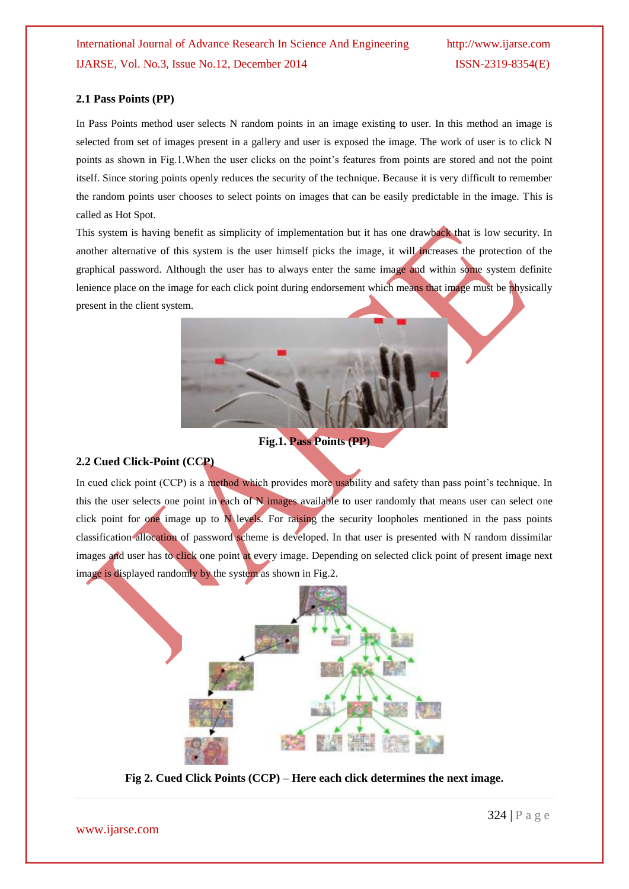### **2.1 Pass Points (PP)**

In Pass Points method user selects N random points in an image existing to user. In this method an image is selected from set of images present in a gallery and user is exposed the image. The work of user is to click N points as shown in Fig.1.When the user clicks on the point"s features from points are stored and not the point itself. Since storing points openly reduces the security of the technique. Because it is very difficult to remember the random points user chooses to select points on images that can be easily predictable in the image. This is called as Hot Spot.

This system is having benefit as simplicity of implementation but it has one drawback that is low security. In another alternative of this system is the user himself picks the image, it will increases the protection of the graphical password. Although the user has to always enter the same image and within some system definite lenience place on the image for each click point during endorsement which means that image must be physically present in the client system.



**Fig.1. Pass Points (PP)**

### **2.2 Cued Click-Point (CCP)**

In cued click point (CCP) is a method which provides more usability and safety than pass point's technique. In this the user selects one point in each of N images available to user randomly that means user can select one click point for one image up to N levels. For raising the security loopholes mentioned in the pass points classification allocation of password scheme is developed. In that user is presented with N random dissimilar images and user has to click one point at every image. Depending on selected click point of present image next image is displayed randomly by the system as shown in Fig.2.



**Fig 2. Cued Click Points (CCP) – Here each click determines the next image.**

www.ijarse.com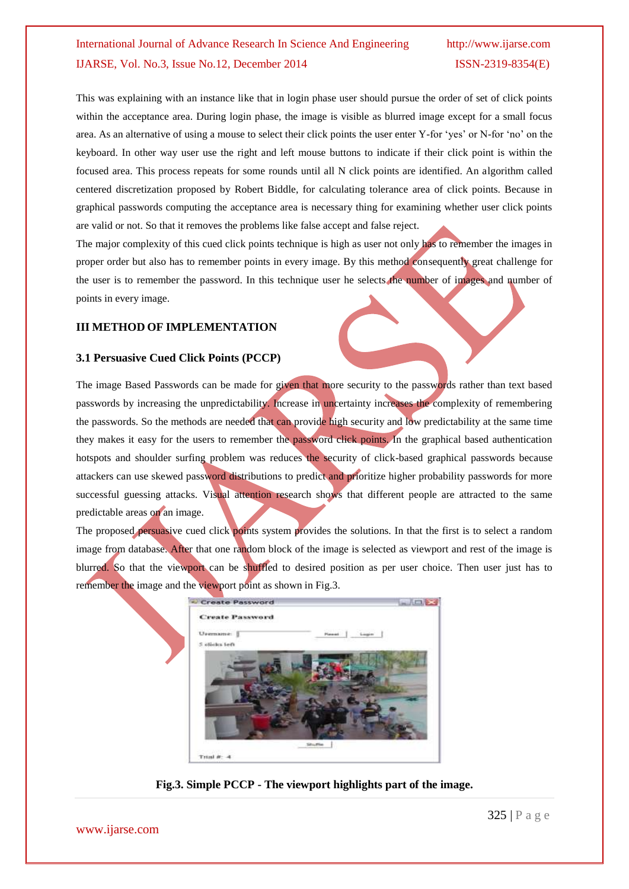This was explaining with an instance like that in login phase user should pursue the order of set of click points within the acceptance area. During login phase, the image is visible as blurred image except for a small focus area. As an alternative of using a mouse to select their click points the user enter Y-for "yes" or N-for "no" on the keyboard. In other way user use the right and left mouse buttons to indicate if their click point is within the focused area. This process repeats for some rounds until all N click points are identified. An algorithm called centered discretization proposed by Robert Biddle, for calculating tolerance area of click points. Because in graphical passwords computing the acceptance area is necessary thing for examining whether user click points are valid or not. So that it removes the problems like false accept and false reject.

The major complexity of this cued click points technique is high as user not only has to remember the images in proper order but also has to remember points in every image. By this method consequently great challenge for the user is to remember the password. In this technique user he selects the number of images and number of points in every image.

#### **III METHOD OF IMPLEMENTATION**

#### **3.1 Persuasive Cued Click Points (PCCP)**

The image Based Passwords can be made for given that more security to the passwords rather than text based passwords by increasing the unpredictability. Increase in uncertainty increases the complexity of remembering the passwords. So the methods are needed that can provide high security and low predictability at the same time they makes it easy for the users to remember the password click points. In the graphical based authentication hotspots and shoulder surfing problem was reduces the security of click-based graphical passwords because attackers can use skewed password distributions to predict and prioritize higher probability passwords for more successful guessing attacks. Visual attention research shows that different people are attracted to the same predictable areas on an image.

The proposed persuasive cued click points system provides the solutions. In that the first is to select a random image from database. After that one random block of the image is selected as viewport and rest of the image is blurred. So that the viewport can be shuffled to desired position as per user choice. Then user just has to remember the image and the viewport point as shown in Fig.3.



**Fig.3. Simple PCCP - The viewport highlights part of the image.**

www.ijarse.com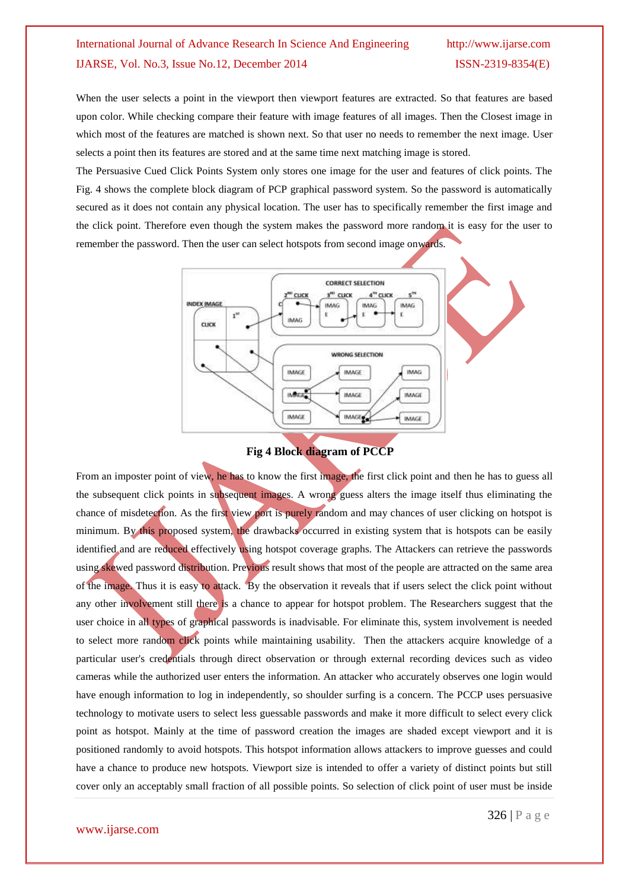When the user selects a point in the viewport then viewport features are extracted. So that features are based upon color. While checking compare their feature with image features of all images. Then the Closest image in which most of the features are matched is shown next. So that user no needs to remember the next image. User selects a point then its features are stored and at the same time next matching image is stored.

The Persuasive Cued Click Points System only stores one image for the user and features of click points. The Fig. 4 shows the complete block diagram of PCP graphical password system. So the password is automatically secured as it does not contain any physical location. The user has to specifically remember the first image and the click point. Therefore even though the system makes the password more random it is easy for the user to remember the password. Then the user can select hotspots from second image onwards.





From an imposter point of view, he has to know the first image, the first click point and then he has to guess all the subsequent click points in subsequent images. A wrong guess alters the image itself thus eliminating the chance of misdetection. As the first view port is purely random and may chances of user clicking on hotspot is minimum. By this proposed system, the drawbacks occurred in existing system that is hotspots can be easily identified and are reduced effectively using hotspot coverage graphs. The Attackers can retrieve the passwords using skewed password distribution. Previous result shows that most of the people are attracted on the same area of the image. Thus it is easy to attack. By the observation it reveals that if users select the click point without any other involvement still there is a chance to appear for hotspot problem. The Researchers suggest that the user choice in all types of graphical passwords is inadvisable. For eliminate this, system involvement is needed to select more random click points while maintaining usability. Then the attackers acquire knowledge of a particular user's credentials through direct observation or through external recording devices such as video cameras while the authorized user enters the information. An attacker who accurately observes one login would have enough information to log in independently, so shoulder surfing is a concern. The PCCP uses persuasive technology to motivate users to select less guessable passwords and make it more difficult to select every click point as hotspot. Mainly at the time of password creation the images are shaded except viewport and it is positioned randomly to avoid hotspots. This hotspot information allows attackers to improve guesses and could have a chance to produce new hotspots. Viewport size is intended to offer a variety of distinct points but still cover only an acceptably small fraction of all possible points. So selection of click point of user must be inside

326 | P a g e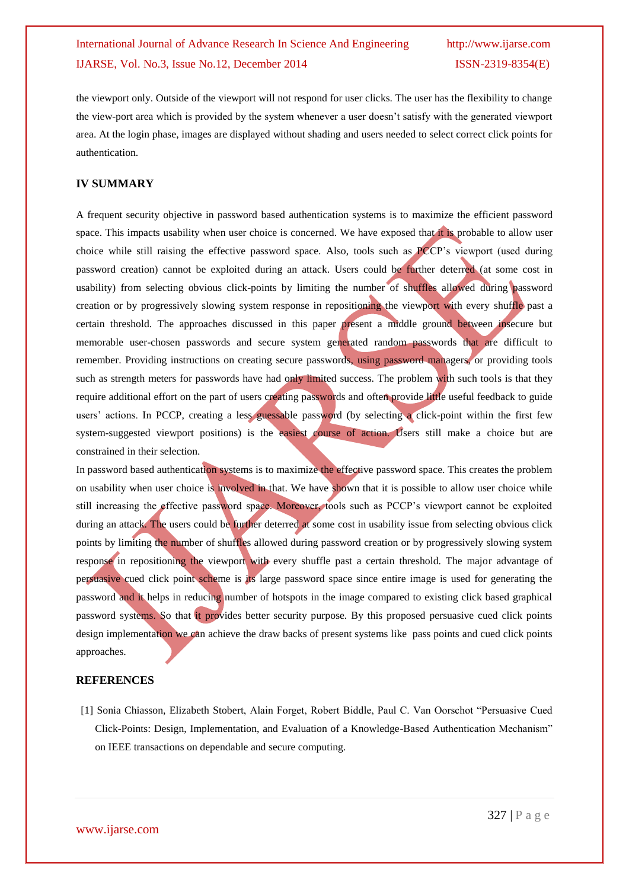the viewport only. Outside of the viewport will not respond for user clicks. The user has the flexibility to change the view-port area which is provided by the system whenever a user doesn"t satisfy with the generated viewport area. At the login phase, images are displayed without shading and users needed to select correct click points for authentication.

#### **IV SUMMARY**

A frequent security objective in password based authentication systems is to maximize the efficient password space. This impacts usability when user choice is concerned. We have exposed that it is probable to allow user choice while still raising the effective password space. Also, tools such as PCCP"s viewport (used during password creation) cannot be exploited during an attack. Users could be further deterred (at some cost in usability) from selecting obvious click-points by limiting the number of shuffles allowed during password creation or by progressively slowing system response in repositioning the viewport with every shuffle past a certain threshold. The approaches discussed in this paper present a middle ground between insecure but memorable user-chosen passwords and secure system generated random passwords that are difficult to remember. Providing instructions on creating secure passwords, using password managers, or providing tools such as strength meters for passwords have had only limited success. The problem with such tools is that they require additional effort on the part of users creating passwords and often provide little useful feedback to guide users" actions. In PCCP, creating a less guessable password (by selecting a click-point within the first few system-suggested viewport positions) is the easiest course of action. Users still make a choice but are constrained in their selection.

In password based authentication systems is to maximize the effective password space. This creates the problem on usability when user choice is involved in that. We have shown that it is possible to allow user choice while still increasing the effective password space. Moreover, tools such as PCCP"s viewport cannot be exploited during an attack. The users could be further deterred at some cost in usability issue from selecting obvious click points by limiting the number of shuffles allowed during password creation or by progressively slowing system response in repositioning the viewport with every shuffle past a certain threshold. The major advantage of persuasive cued click point scheme is its large password space since entire image is used for generating the password and it helps in reducing number of hotspots in the image compared to existing click based graphical password systems. So that it provides better security purpose. By this proposed persuasive cued click points design implementation we can achieve the draw backs of present systems like pass points and cued click points approaches.

#### **REFERENCES**

[1] Sonia Chiasson, Elizabeth Stobert, Alain Forget, Robert Biddle, Paul C. Van Oorschot "Persuasive Cued Click-Points: Design, Implementation, and Evaluation of a Knowledge-Based Authentication Mechanism" on IEEE transactions on dependable and secure computing.